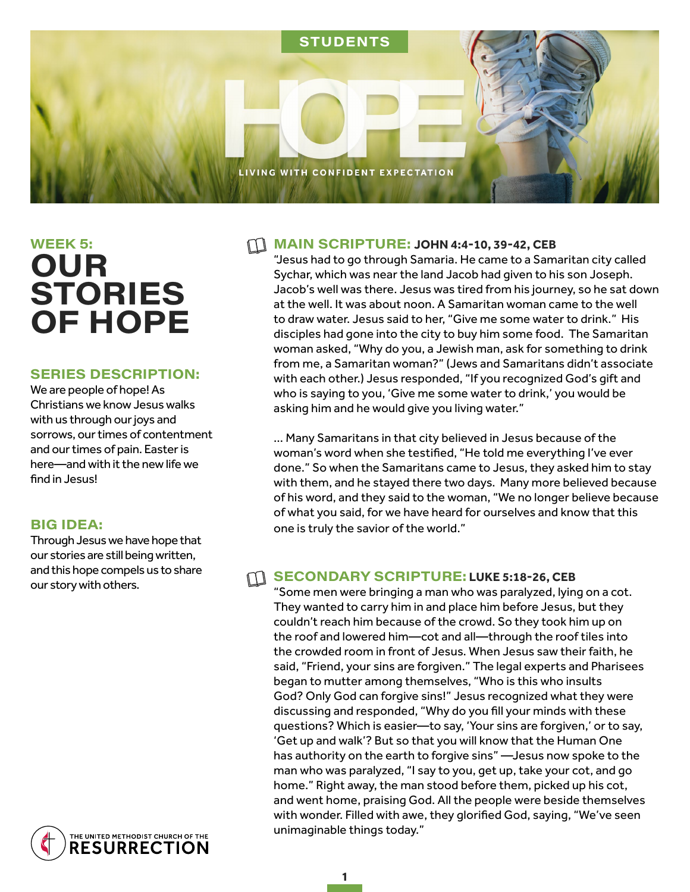

# **WEEK 5: OUR STORIES OF HOPE**

### **SERIES DESCRIPTION:**

We are people of hope! As Christians we know Jesus walks with us through our joys and sorrows, our times of contentment and our times of pain. Easter is here—and with it the new life we find in Jesus!

### **BIG IDEA:**

Through Jesus we have hope that our stories are still being written, and this hope compels us to share our story with others.



### **MAIN SCRIPTURE: JOHN 4:4-10, 39-42, CEB**

"Jesus had to go through Samaria. He came to a Samaritan city called Sychar, which was near the land Jacob had given to his son Joseph. Jacob's well was there. Jesus was tired from his journey, so he sat down at the well. It was about noon. A Samaritan woman came to the well to draw water. Jesus said to her, "Give me some water to drink." His disciples had gone into the city to buy him some food. The Samaritan woman asked, "Why do you, a Jewish man, ask for something to drink from me, a Samaritan woman?" (Jews and Samaritans didn't associate with each other.) Jesus responded, "If you recognized God's gift and who is saying to you, 'Give me some water to drink,' you would be asking him and he would give you living water."

… Many Samaritans in that city believed in Jesus because of the woman's word when she testified, "He told me everything I've ever done." So when the Samaritans came to Jesus, they asked him to stay with them, and he stayed there two days. Many more believed because of his word, and they said to the woman, "We no longer believe because of what you said, for we have heard for ourselves and know that this one is truly the savior of the world."

### **SECONDARY SCRIPTURE: LUKE 5:18-26, CEB**

"Some men were bringing a man who was paralyzed, lying on a cot. They wanted to carry him in and place him before Jesus, but they couldn't reach him because of the crowd. So they took him up on the roof and lowered him—cot and all—through the roof tiles into the crowded room in front of Jesus. When Jesus saw their faith, he said, "Friend, your sins are forgiven." The legal experts and Pharisees began to mutter among themselves, "Who is this who insults God? Only God can forgive sins!" Jesus recognized what they were discussing and responded, "Why do you fill your minds with these questions? Which is easier—to say, 'Your sins are forgiven,' or to say, 'Get up and walk'? But so that you will know that the Human One has authority on the earth to forgive sins" —Jesus now spoke to the man who was paralyzed, "I say to you, get up, take your cot, and go home." Right away, the man stood before them, picked up his cot, and went home, praising God. All the people were beside themselves with wonder. Filled with awe, they glorified God, saying, "We've seen unimaginable things today."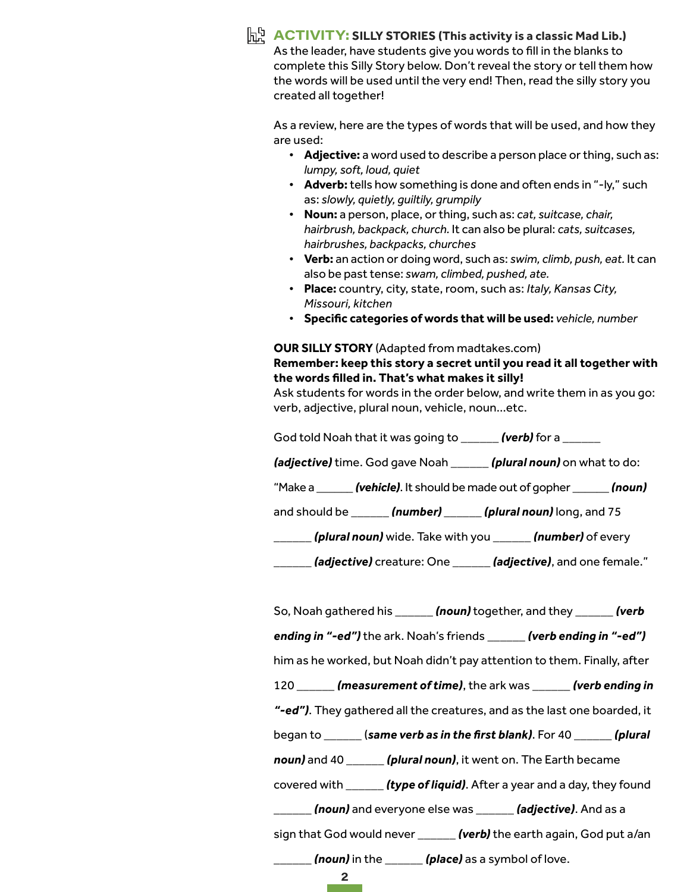A C T IV IT Y: **SILLY STORIES (This activity is a classic Mad Lib.)**  As the leader, have students give you words to fill in the blanks to complete this Silly Story below. Don't reveal the story or tell them how the words will be used until the very end! Then, read the silly story you created all together!

As a review, here are the types of words that will be used, and how they are used:

- **Adjective:** a word used to describe a person place or thing, such as: *lumpy, soft, loud, quiet*
- **Adverb:** tells how something is done and often ends in "-ly," such as: *slowly, quietly, guiltily, grumpily*
- **Noun:** a person, place, or thing, such as: *cat, suitcase, chair, hairbrush, backpack, church.* It can also be plural: *cats, suitcases, hairbrushes, backpacks, churches*
- **Verb:** an action or doing word, such as: *swim, climb, push, eat.* It can also be past tense: *swam, climbed, pushed, ate.*
- **Place:** country, city, state, room, such as: *Italy, Kansas City, Missouri, kitchen*
- **Specific categories of words that will be used:** *vehicle, number*

### **OUR SILLY STORY** (Adapted from madtakes.com)

### **Remember: keep this story a secret until you read it all together with the words filled in. That's what makes it silly!**

Ask students for words in the order below, and write them in as you go: verb, adjective, plural noun, vehicle, noun…etc.

| God told Noah that it was going to _____ (verb) for a _____                                                                                                                                                                                                                                                                                                                                                                                           |                                                                         |
|-------------------------------------------------------------------------------------------------------------------------------------------------------------------------------------------------------------------------------------------------------------------------------------------------------------------------------------------------------------------------------------------------------------------------------------------------------|-------------------------------------------------------------------------|
|                                                                                                                                                                                                                                                                                                                                                                                                                                                       | (adjective) time. God gave Noah _____ (plural noun) on what to do:      |
|                                                                                                                                                                                                                                                                                                                                                                                                                                                       | "Make a ______ (vehicle). It should be made out of gopher ______ (noun) |
| and should be ______ (number) ______ (plural noun) long, and 75                                                                                                                                                                                                                                                                                                                                                                                       |                                                                         |
| ______ (plural noun) wide. Take with you ______ (number) of every                                                                                                                                                                                                                                                                                                                                                                                     |                                                                         |
| $\begin{tabular}{ccccc} \multicolumn{2}{c }{\textbf{1} & \multicolumn{2}{c }{\textbf{2} & \multicolumn{2}{c }{\textbf{3} & \multicolumn{2}{c }{\textbf{4} & \multicolumn{2}{c }{\textbf{5} & \multicolumn{2}{c }{\textbf{6} & \multicolumn{2}{c }{\textbf{6} & \multicolumn{2}{c }{\textbf{6} & \multicolumn{2}{c }{\textbf{6} & \multicolumn{2}{c }{\textbf{6} & \multicolumn{2}{c }{\textbf{6} & \multicolumn{2}{c }{\textbf{6} & \multicolumn{2}{$ | (adjective) creature: One ______ (adjective), and one female."          |

So, Noah gathered his \_\_\_\_\_\_ *(noun)* together, and they \_\_\_\_\_\_ *(verb* 

*ending in "-ed")* the ark. Noah's friends \_\_\_\_\_\_ *(verb ending in "-ed")* 

him as he worked, but Noah didn't pay attention to them. Finally, after

120 \_\_\_\_\_\_ *(measurement of time)*, the ark was \_\_\_\_\_\_ *(verb ending in* 

*"-ed")*. They gathered all the creatures, and as the last one boarded, it

began to \_\_\_\_\_\_ (*same verb as in the first blank)*. For 40 \_\_\_\_\_\_ *(plural* 

*noun)* and 40 \_\_\_\_\_\_ *(plural noun)*, it went on. The Earth became

covered with \_\_\_\_\_\_ *(type of liquid)*. After a year and a day, they found

\_\_\_\_\_\_ *(noun)* and everyone else was \_\_\_\_\_\_ *(adjective)*. And as a

sign that God would never \_\_\_\_\_\_ *(verb)* the earth again, God put a/an

\_\_\_\_\_\_ *(noun)* in the \_\_\_\_\_\_ *(place)* as a symbol of love.

2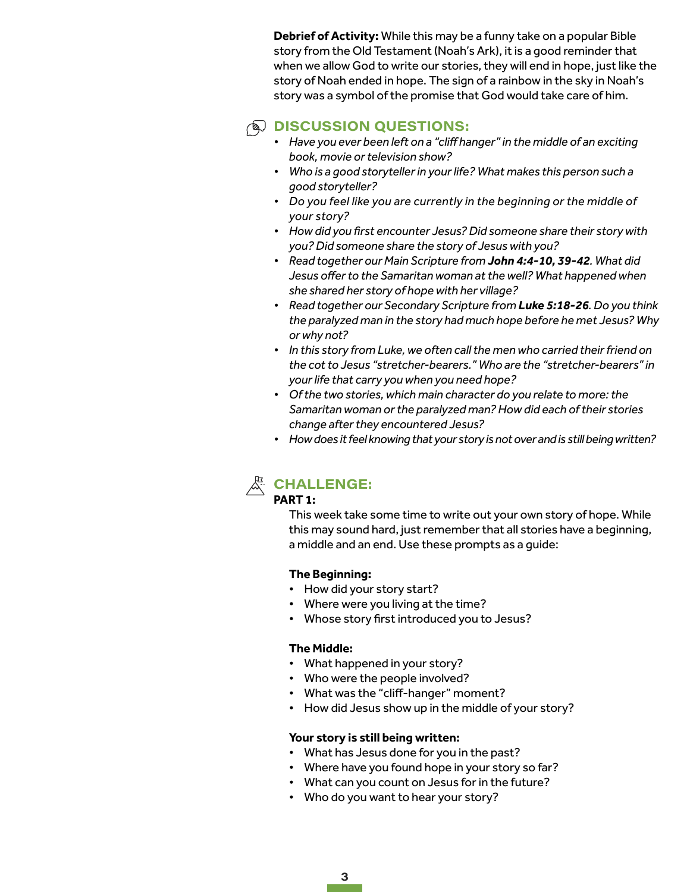**Debrief of Activity:** While this may be a funny take on a popular Bible story from the Old Testament (Noah's Ark), it is a good reminder that when we allow God to write our stories, they will end in hope, just like the story of Noah ended in hope. The sign of a rainbow in the sky in Noah's story was a symbol of the promise that God would take care of him.

### $\circledast$  DISCUSSION QUESTIONS:

- *• Have you ever been left on a "cliff hanger"in the middle of an exciting book, movie or television show?*
- *• Who is a good storyteller in your life? What makes this person such a good storyteller?*
- *• Do you feel like you are currently in the beginning or the middle of your story?*
- *• Howdid you first encounter Jesus?Did someone share their storywith you?Did someone share the story of Jesuswith you?*
- *• Read together our Main Scripture from John 4:4-10, 39-42. What did Jesus offerto the Samaritanwoman atthewell? What happenedwhen she shared her story of hope with her village?*
- *• Read together our Secondary Scripture from Luke 5:18-26. Do you think the paralyzed man in the story had much hope before he met Jesus? Why or why not?*
- *• In this story from Luke, we often call the men who carried their friend on the cotto Jesus "stretcher-bearers." Who are the "stretcher-bearers"in your life that carry you when you need hope?*
- *• Of the two stories, which main character do you relate to more: the Samaritan woman or the paralyzed man? How did each of their stories change afterthey encountered Jesus?*
- *• How does it feel knowing that your story is not over and is still being written?*

## **CHALLENGE:**

### **PART 1:**

This week take some time to write out your own story of hope. While this may sound hard, just remember that all stories have a beginning, a middle and an end. Use these prompts as a guide:

### **The Beginning:**

- How did your story start?
- Where were you living at the time?
- Whose story first introduced you to Jesus?

### **The Middle:**

- What happened in your story?
- Who were the people involved?
- What was the "cliff-hanger" moment?
- How did Jesus show up in the middle of your story?

### **Your story is still being written:**

- What has Jesus done for you in the past?
- Where have you found hope in your story so far?
- What can you count on Jesus for in the future?
- Who do you want to hear your story?